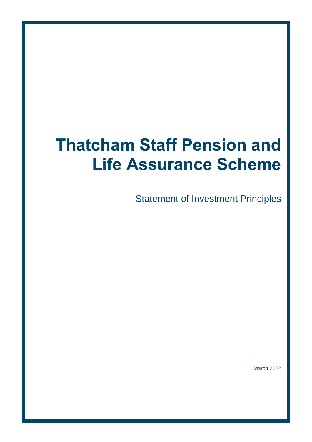# **Thatcham Staff Pension and Life Assurance Scheme**

Statement of Investment Principles

March 2022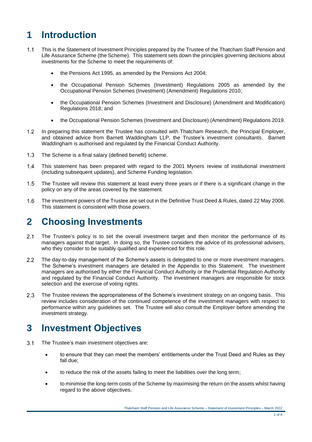# **1 Introduction**

- $1.1$ This is the Statement of Investment Principles prepared by the Trustee of the Thatcham Staff Pension and Life Assurance Scheme (the Scheme). This statement sets down the principles governing decisions about investments for the Scheme to meet the requirements of:
	- the Pensions Act 1995, as amended by the Pensions Act 2004;
	- the Occupational Pension Schemes (Investment) Regulations 2005 as amended by the Occupational Pension Schemes (Investment) (Amendment) Regulations 2010;
	- the Occupational Pension Schemes (Investment and Disclosure) (Amendment and Modification) Regulations 2018; and
	- the Occupational Pension Schemes (Investment and Disclosure) (Amendment) Regulations 2019.
- $1.2<sub>2</sub>$ In preparing this statement the Trustee has consulted with Thatcham Research, the Principal Employer, and obtained advice from Barnett Waddingham LLP, the Trustee's investment consultants. Barnett Waddingham is authorised and regulated by the Financial Conduct Authority.
- $1.3$ The Scheme is a final salary (defined benefit) scheme.
- This statement has been prepared with regard to the 2001 Myners review of institutional investment  $1.4$ (including subsequent updates), and Scheme Funding legislation.
- $1.5$ The Trustee will review this statement at least every three years or if there is a significant change in the policy on any of the areas covered by the statement.
- $1.6$ The investment powers of the Trustee are set out in the Definitive Trust Deed & Rules, dated 22 May 2006. This statement is consistent with those powers.

### **2 Choosing Investments**

- $2.1$ The Trustee's policy is to set the overall investment target and then monitor the performance of its managers against that target. In doing so, the Trustee considers the advice of its professional advisers, who they consider to be suitably qualified and experienced for this role.
- $22$ The day-to-day management of the Scheme's assets is delegated to one or more investment managers. The Scheme's investment managers are detailed in the Appendix to this Statement. The investment managers are authorised by either the Financial Conduct Authority or the Prudential Regulation Authority and regulated by the Financial Conduct Authority. The investment managers are responsible for stock selection and the exercise of voting rights.
- $2.3$ The Trustee reviews the appropriateness of the Scheme's investment strategy on an ongoing basis. This review includes consideration of the continued competence of the investment managers with respect to performance within any guidelines set. The Trustee will also consult the Employer before amending the investment strategy.

# **3 Investment Objectives**

- $3.1$ The Trustee's main investment objectives are:
	- to ensure that they can meet the members' entitlements under the Trust Deed and Rules as they fall due;
	- to reduce the risk of the assets failing to meet the liabilities over the long term;
	- to minimise the long-term costs of the Scheme by maximising the return on the assets whilst having regard to the above objectives.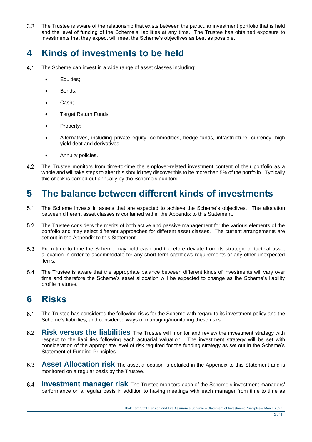$3.2$ The Trustee is aware of the relationship that exists between the particular investment portfolio that is held and the level of funding of the Scheme's liabilities at any time. The Trustee has obtained exposure to investments that they expect will meet the Scheme's objectives as best as possible.

# **4 Kinds of investments to be held**

- $41$ The Scheme can invest in a wide range of asset classes including:
	- Equities;
	- Bonds;
	- Cash;
	- Target Return Funds;
	- Property;
	- Alternatives, including private equity, commodities, hedge funds, infrastructure, currency, high yield debt and derivatives;
	- Annuity policies.
- 42 The Trustee monitors from time-to-time the employer-related investment content of their portfolio as a whole and will take steps to alter this should they discover this to be more than 5% of the portfolio. Typically this check is carried out annually by the Scheme's auditors.

### **5 The balance between different kinds of investments**

- $5.1$ The Scheme invests in assets that are expected to achieve the Scheme's objectives. The allocation between different asset classes is contained within the Appendix to this Statement.
- $5.2$ The Trustee considers the merits of both active and passive management for the various elements of the portfolio and may select different approaches for different asset classes. The current arrangements are set out in the Appendix to this Statement.
- $5.3$ From time to time the Scheme may hold cash and therefore deviate from its strategic or tactical asset allocation in order to accommodate for any short term cashflows requirements or any other unexpected items.
- The Trustee is aware that the appropriate balance between different kinds of investments will vary over  $5.4$ time and therefore the Scheme's asset allocation will be expected to change as the Scheme's liability profile matures.

# **6 Risks**

- $6.1$ The Trustee has considered the following risks for the Scheme with regard to its investment policy and the Scheme's liabilities, and considered ways of managing/monitoring these risks:
- **Risk versus the liabilities** The Trustee will monitor and review the investment strategy with  $6.2$ respect to the liabilities following each actuarial valuation. The investment strategy will be set with consideration of the appropriate level of risk required for the funding strategy as set out in the Scheme's Statement of Funding Principles.
- $6.3$ **Asset Allocation risk** The asset allocation is detailed in the Appendix to this Statement and is monitored on a regular basis by the Trustee.
- **Investment manager risk** The Trustee monitors each of the Scheme's investment managers' 6.4 performance on a regular basis in addition to having meetings with each manager from time to time as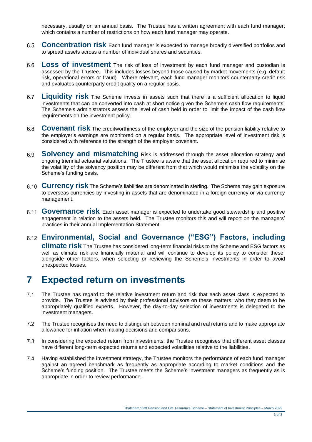necessary, usually on an annual basis. The Trustee has a written agreement with each fund manager, which contains a number of restrictions on how each fund manager may operate.

- 6.5 **Concentration risk** Each fund manager is expected to manage broadly diversified portfolios and to spread assets across a number of individual shares and securities.
- Loss of investment The risk of loss of investment by each fund manager and custodian is 6.6 assessed by the Trustee. This includes losses beyond those caused by market movements (e.g. default risk, operational errors or fraud). Where relevant, each fund manager monitors counterparty credit risk and evaluates counterparty credit quality on a regular basis.
- **Liquidity risk** The Scheme invests in assets such that there is a sufficient allocation to liquid  $6.7$ investments that can be converted into cash at short notice given the Scheme's cash flow requirements. The Scheme's administrators assess the level of cash held in order to limit the impact of the cash flow requirements on the investment policy.
- $6.8$ **Covenant risk** The creditworthiness of the employer and the size of the pension liability relative to the employer's earnings are monitored on a regular basis. The appropriate level of investment risk is considered with reference to the strength of the employer covenant.
- **Solvency and mismatching** Risk is addressed through the asset allocation strategy and 6.9 ongoing triennial actuarial valuations. The Trustee is aware that the asset allocation required to minimise the volatility of the solvency position may be different from that which would minimise the volatility on the Scheme's funding basis.
- **Currency risk** The Scheme's liabilities are denominated in sterling. The Scheme may gain exposure to overseas currencies by investing in assets that are denominated in a foreign currency or via currency management.
- **Governance risk** Each asset manager is expected to undertake good stewardship and positive engagement in relation to the assets held. The Trustee monitors this and will report on the managers' practices in their annual Implementation Statement.

#### **Environmental, Social and Governance ("ESG") Factors, including**

**climate risk** The Trustee has considered long-term financial risks to the Scheme and ESG factors as well as climate risk are financially material and will continue to develop its policy to consider these, alongside other factors, when selecting or reviewing the Scheme's investments in order to avoid unexpected losses.

### **7 Expected return on investments**

- $7.1$ The Trustee has regard to the relative investment return and risk that each asset class is expected to provide. The Trustee is advised by their professional advisors on these matters, who they deem to be appropriately qualified experts. However, the day-to-day selection of investments is delegated to the investment managers.
- $7.2$ The Trustee recognises the need to distinguish between nominal and real returns and to make appropriate allowance for inflation when making decisions and comparisons.
- $7.3$ In considering the expected return from investments, the Trustee recognises that different asset classes have different long-term expected returns and expected volatilities relative to the liabilities.
- Having established the investment strategy, the Trustee monitors the performance of each fund manager  $7.4$ against an agreed benchmark as frequently as appropriate according to market conditions and the Scheme's funding position. The Trustee meets the Scheme's investment managers as frequently as is appropriate in order to review performance.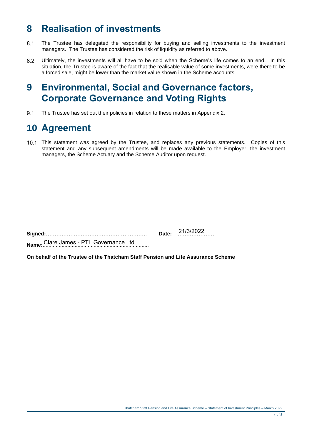# **8 Realisation of investments**

- $8.1$ The Trustee has delegated the responsibility for buying and selling investments to the investment managers. The Trustee has considered the risk of liquidity as referred to above.
- Ultimately, the investments will all have to be sold when the Scheme's life comes to an end. In this  $8.2$ situation, the Trustee is aware of the fact that the realisable value of some investments, were there to be a forced sale, might be lower than the market value shown in the Scheme accounts.

### **9 Environmental, Social and Governance factors, Corporate Governance and Voting Rights**

 $9.1$ The Trustee has set out their policies in relation to these matters in Appendix 2.

# **10 Agreement**

This statement was agreed by the Trustee, and replaces any previous statements. Copies of this statement and any subsequent amendments will be made available to the Employer, the investment managers, the Scheme Actuary and the Scheme Auditor upon request.

| 21/3/2022 |
|-----------|
|           |

**Name:**......................................................................... Clare James - PTL Governance Ltd

**On behalf of the Trustee of the Thatcham Staff Pension and Life Assurance Scheme**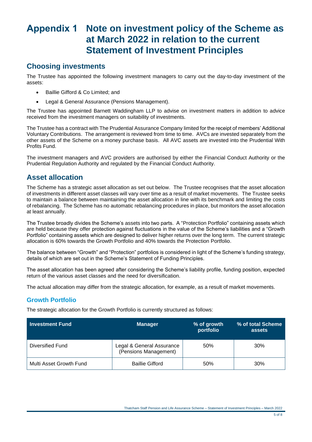# **Appendix 1 Note on investment policy of the Scheme as at March 2022 in relation to the current Statement of Investment Principles**

#### **Choosing investments**

The Trustee has appointed the following investment managers to carry out the day-to-day investment of the assets:

- Baillie Gifford & Co Limited; and
- Legal & General Assurance (Pensions Management).

The Trustee has appointed Barnett Waddingham LLP to advise on investment matters in addition to advice received from the investment managers on suitability of investments.

The Trustee has a contract with The Prudential Assurance Company limited for the receipt of members' Additional Voluntary Contributions. The arrangement is reviewed from time to time. AVCs are invested separately from the other assets of the Scheme on a money purchase basis. All AVC assets are invested into the Prudential With Profits Fund.

The investment managers and AVC providers are authorised by either the Financial Conduct Authority or the Prudential Regulation Authority and regulated by the Financial Conduct Authority.

#### **Asset allocation**

The Scheme has a strategic asset allocation as set out below. The Trustee recognises that the asset allocation of investments in different asset classes will vary over time as a result of market movements. The Trustee seeks to maintain a balance between maintaining the asset allocation in line with its benchmark and limiting the costs of rebalancing. The Scheme has no automatic rebalancing procedures in place, but monitors the asset allocation at least annually.

The Trustee broadly divides the Scheme's assets into two parts. A "Protection Portfolio" containing assets which are held because they offer protection against fluctuations in the value of the Scheme's liabilities and a "Growth Portfolio" containing assets which are designed to deliver higher returns over the long term. The current strategic allocation is 60% towards the Growth Portfolio and 40% towards the Protection Portfolio.

The balance between "Growth" and "Protection" portfolios is considered in light of the Scheme's funding strategy, details of which are set out in the Scheme's Statement of Funding Principles.

The asset allocation has been agreed after considering the Scheme's liability profile, funding position, expected return of the various asset classes and the need for diversification.

The actual allocation may differ from the strategic allocation, for example, as a result of market movements.

#### **Growth Portfolio**

The strategic allocation for the Growth Portfolio is currently structured as follows:

| <b>Investment Fund</b>  | <b>Manager</b>                                     | % of growth<br>portfolio | % of total Scheme<br>assets |
|-------------------------|----------------------------------------------------|--------------------------|-----------------------------|
| Diversified Fund        | Legal & General Assurance<br>(Pensions Management) | 50%                      | 30%                         |
| Multi Asset Growth Fund | <b>Baillie Gifford</b>                             | 50%                      | 30%                         |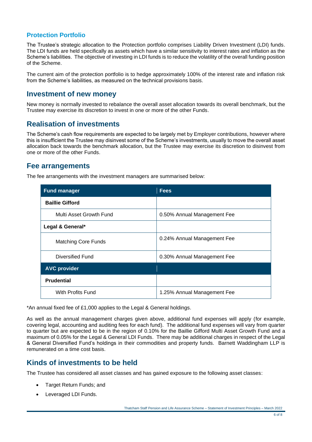#### **Protection Portfolio**

The Trustee's strategic allocation to the Protection portfolio comprises Liability Driven Investment (LDI) funds. The LDI funds are held specifically as assets which have a similar sensitivity to interest rates and inflation as the Scheme's liabilities. The objective of investing in LDI funds is to reduce the volatility of the overall funding position of the Scheme.

The current aim of the protection portfolio is to hedge approximately 100% of the interest rate and inflation risk from the Scheme's liabilities, as measured on the technical provisions basis.

#### **Investment of new money**

New money is normally invested to rebalance the overall asset allocation towards its overall benchmark, but the Trustee may exercise its discretion to invest in one or more of the other Funds.

#### **Realisation of investments**

The Scheme's cash flow requirements are expected to be largely met by Employer contributions, however where this is insufficient the Trustee may disinvest some of the Scheme's investments, usually to move the overall asset allocation back towards the benchmark allocation, but the Trustee may exercise its discretion to disinvest from one or more of the other Funds.

#### **Fee arrangements**

The fee arrangements with the investment managers are summarised below:

| <b>Fund manager</b>        | <b>Fees</b>                 |
|----------------------------|-----------------------------|
| <b>Baillie Gifford</b>     |                             |
| Multi Asset Growth Fund    | 0.50% Annual Management Fee |
| Legal & General*           |                             |
| <b>Matching Core Funds</b> | 0.24% Annual Management Fee |
| Diversified Fund           | 0.30% Annual Management Fee |
| <b>AVC provider</b>        |                             |
| <b>Prudential</b>          |                             |
| With Profits Fund          | 1.25% Annual Management Fee |

\*An annual fixed fee of £1,000 applies to the Legal & General holdings.

As well as the annual management charges given above, additional fund expenses will apply (for example, covering legal, accounting and auditing fees for each fund). The additional fund expenses will vary from quarter to quarter but are expected to be in the region of 0.10% for the Baillie Gifford Multi Asset Growth Fund and a maximum of 0.05% for the Legal & General LDI Funds. There may be additional charges in respect of the Legal & General Diversified Fund's holdings in their commodities and property funds. Barnett Waddingham LLP is remunerated on a time cost basis.

#### **Kinds of investments to be held**

The Trustee has considered all asset classes and has gained exposure to the following asset classes:

- Target Return Funds; and
- Leveraged LDI Funds.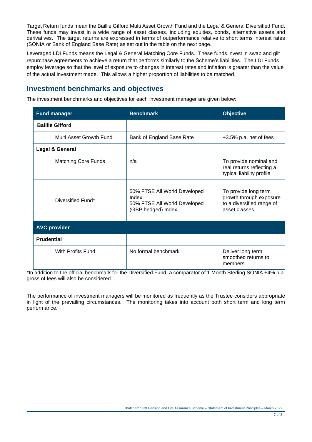Target Return funds mean the Baillie Gifford Multi Asset Growth Fund and the Legal & General Diversified Fund. These funds may invest in a wide range of asset classes, including equities, bonds, alternative assets and derivatives. The target returns are expressed in terms of outperformance relative to short terms interest rates (SONIA or Bank of England Base Rate) as set out in the table on the next page.

Leveraged LDI Funds means the Legal & General Matching Core Funds. These funds invest in swap and gilt repurchase agreements to achieve a return that performs similarly to the Scheme's liabilities. The LDI Funds employ leverage so that the level of exposure to changes in interest rates and inflation is greater than the value of the actual investment made. This allows a higher proportion of liabilities to be matched.

#### **Investment benchmarks and objectives**

The investment benchmarks and objectives for each investment manager are given below:

| <b>Fund manager</b>        | <b>Benchmark</b>                                                                            | <b>Objective</b>                                                                               |
|----------------------------|---------------------------------------------------------------------------------------------|------------------------------------------------------------------------------------------------|
| <b>Baillie Gifford</b>     |                                                                                             |                                                                                                |
| Multi Asset Growth Fund    | Bank of England Base Rate                                                                   | +3.5% p.a. net of fees                                                                         |
| Legal & General            |                                                                                             |                                                                                                |
| <b>Matching Core Funds</b> | n/a                                                                                         | To provide nominal and<br>real returns reflecting a<br>typical liability profile               |
| Diversified Fund*          | 50% FTSE All World Developed<br>Index<br>50% FTSE All World Developed<br>(GBP hedged) Index | To provide long term<br>growth through exposure<br>to a diversified range of<br>asset classes. |
| <b>AVC provider</b>        |                                                                                             |                                                                                                |
| <b>Prudential</b>          |                                                                                             |                                                                                                |
| With Profits Fund          | No formal benchmark                                                                         | Deliver long term<br>smoothed returns to<br>members                                            |

\*In addition to the official benchmark for the Diversified Fund, a comparator of 1 Month Sterling SONIA +4% p.a. gross of fees will also be considered.

The performance of investment managers will be monitored as frequently as the Trustee considers appropriate in light of the prevailing circumstances. The monitoring takes into account both short term and long term performance.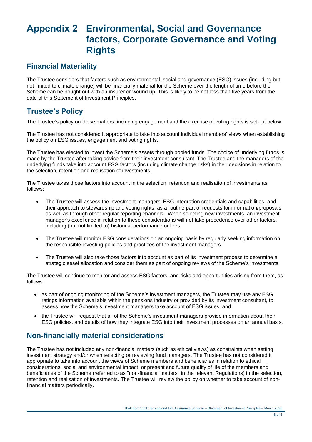# **Appendix 2 Environmental, Social and Governance factors, Corporate Governance and Voting Rights**

#### **Financial Materiality**

The Trustee considers that factors such as environmental, social and governance (ESG) issues (including but not limited to climate change) will be financially material for the Scheme over the length of time before the Scheme can be bought out with an insurer or wound up. This is likely to be not less than five years from the date of this Statement of Investment Principles.

#### **Trustee's Policy**

The Trustee's policy on these matters, including engagement and the exercise of voting rights is set out below.

The Trustee has not considered it appropriate to take into account individual members' views when establishing the policy on ESG issues, engagement and voting rights.

The Trustee has elected to invest the Scheme's assets through pooled funds. The choice of underlying funds is made by the Trustee after taking advice from their investment consultant. The Trustee and the managers of the underlying funds take into account ESG factors (including climate change risks) in their decisions in relation to the selection, retention and realisation of investments.

The Trustee takes those factors into account in the selection, retention and realisation of investments as follows:

- The Trustee will assess the investment managers' ESG integration credentials and capabilities, and their approach to stewardship and voting rights, as a routine part of requests for information/proposals as well as through other regular reporting channels. When selecting new investments, an investment manager's excellence in relation to these considerations will not take precedence over other factors, including (but not limited to) historical performance or fees.
- The Trustee will monitor ESG considerations on an ongoing basis by regularly seeking information on the responsible investing policies and practices of the investment managers.
- The Trustee will also take those factors into account as part of its investment process to determine a strategic asset allocation and consider them as part of ongoing reviews of the Scheme's investments.

The Trustee will continue to monitor and assess ESG factors, and risks and opportunities arising from them, as follows:

- as part of ongoing monitoring of the Scheme's investment managers, the Trustee may use any ESG ratings information available within the pensions industry or provided by its investment consultant, to assess how the Scheme's investment managers take account of ESG issues; and
- the Trustee will request that all of the Scheme's investment managers provide information about their ESG policies, and details of how they integrate ESG into their investment processes on an annual basis.

#### **Non-financially material considerations**

The Trustee has not included any non-financial matters (such as ethical views) as constraints when setting investment strategy and/or when selecting or reviewing fund managers. The Trustee has not considered it appropriate to take into account the views of Scheme members and beneficiaries in relation to ethical considerations, social and environmental impact, or present and future qualify of life of the members and beneficiaries of the Scheme (referred to as "non-financial matters" in the relevant Regulations) in the selection, retention and realisation of investments. The Trustee will review the policy on whether to take account of nonfinancial matters periodically.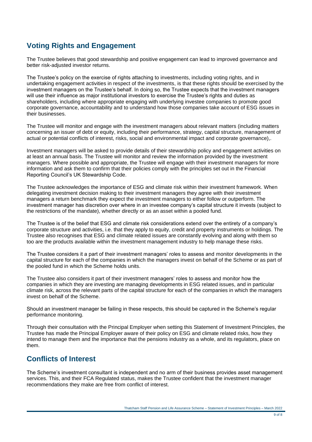#### **Voting Rights and Engagement**

The Trustee believes that good stewardship and positive engagement can lead to improved governance and better risk-adjusted investor returns.

The Trustee's policy on the exercise of rights attaching to investments, including voting rights, and in undertaking engagement activities in respect of the investments, is that these rights should be exercised by the investment managers on the Trustee's behalf. In doing so, the Trustee expects that the investment managers will use their influence as major institutional investors to exercise the Trustee's rights and duties as shareholders, including where appropriate engaging with underlying investee companies to promote good corporate governance, accountability and to understand how those companies take account of ESG issues in their businesses.

The Trustee will monitor and engage with the investment managers about relevant matters (including matters concerning an issuer of debt or equity, including their performance, strategy, capital structure, management of actual or potential conflicts of interest, risks, social and environmental impact and corporate governance),.

Investment managers will be asked to provide details of their stewardship policy and engagement activities on at least an annual basis. The Trustee will monitor and review the information provided by the investment managers. Where possible and appropriate, the Trustee will engage with their investment managers for more information and ask them to confirm that their policies comply with the principles set out in the Financial Reporting Council's UK Stewardship Code.

The Trustee acknowledges the importance of ESG and climate risk within their investment framework. When delegating investment decision making to their investment managers they agree with their investment managers a return benchmark they expect the investment managers to either follow or outperform. The investment manager has discretion over where in an investee company's capital structure it invests (subject to the restrictions of the mandate), whether directly or as an asset within a pooled fund.

The Trustee is of the belief that ESG and climate risk considerations extend over the entirety of a company's corporate structure and activities, i.e. that they apply to equity, credit and property instruments or holdings. The Trustee also recognises that ESG and climate related issues are constantly evolving and along with them so too are the products available within the investment management industry to help manage these risks.

The Trustee considers it a part of their investment managers' roles to assess and monitor developments in the capital structure for each of the companies in which the managers invest on behalf of the Scheme or as part of the pooled fund in which the Scheme holds units.

The Trustee also considers it part of their investment managers' roles to assess and monitor how the companies in which they are investing are managing developments in ESG related issues, and in particular climate risk, across the relevant parts of the capital structure for each of the companies in which the managers invest on behalf of the Scheme.

Should an investment manager be failing in these respects, this should be captured in the Scheme's regular performance monitoring.

Through their consultation with the Principal Employer when setting this Statement of Investment Principles, the Trustee has made the Principal Employer aware of their policy on ESG and climate related risks, how they intend to manage them and the importance that the pensions industry as a whole, and its regulators, place on them.

#### **Conflicts of Interest**

The Scheme's investment consultant is independent and no arm of their business provides asset management services. This, and their FCA Regulated status, makes the Trustee confident that the investment manager recommendations they make are free from conflict of interest.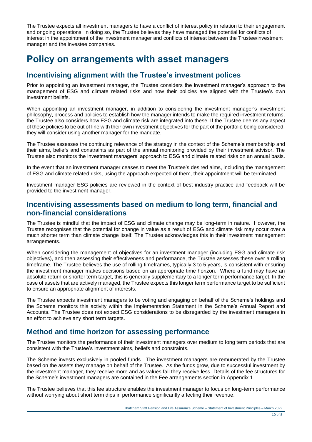The Trustee expects all investment managers to have a conflict of interest policy in relation to their engagement and ongoing operations. In doing so, the Trustee believes they have managed the potential for conflicts of interest in the appointment of the investment manager and conflicts of interest between the Trustee/investment manager and the investee companies.

### **Policy on arrangements with asset managers**

#### **Incentivising alignment with the Trustee's investment polices**

Prior to appointing an investment manager, the Trustee considers the investment manager's approach to the management of ESG and climate related risks and how their policies are aligned with the Trustee's own investment beliefs.

When appointing an investment manager, in addition to considering the investment manager's investment philosophy, process and policies to establish how the manager intends to make the required investment returns, the Trustee also considers how ESG and climate risk are integrated into these. If the Trustee deems any aspect of these policies to be out of line with their own investment objectives for the part of the portfolio being considered, they will consider using another manager for the mandate.

The Trustee assesses the continuing relevance of the strategy in the context of the Scheme's membership and their aims, beliefs and constraints as part of the annual monitoring provided by their investment advisor. The Trustee also monitors the investment managers' approach to ESG and climate related risks on an annual basis.

In the event that an investment manager ceases to meet the Trustee's desired aims, including the management of ESG and climate related risks, using the approach expected of them, their appointment will be terminated.

Investment manager ESG policies are reviewed in the context of best industry practice and feedback will be provided to the investment manager.

#### **Incentivising assessments based on medium to long term, financial and non-financial considerations**

The Trustee is mindful that the impact of ESG and climate change may be long-term in nature. However, the Trustee recognises that the potential for change in value as a result of ESG and climate risk may occur over a much shorter term than climate change itself. The Trustee acknowledges this in their investment management arrangements.

When considering the management of objectives for an investment manager (including ESG and climate risk objectives), and then assessing their effectiveness and performance, the Trustee assesses these over a rolling timeframe. The Trustee believes the use of rolling timeframes, typically 3 to 5 years, is consistent with ensuring the investment manager makes decisions based on an appropriate time horizon. Where a fund may have an absolute return or shorter term target, this is generally supplementary to a longer term performance target. In the case of assets that are actively managed, the Trustee expects this longer term performance target to be sufficient to ensure an appropriate alignment of interests.

The Trustee expects investment managers to be voting and engaging on behalf of the Scheme's holdings and the Scheme monitors this activity within the Implementation Statement in the Scheme's Annual Report and Accounts. The Trustee does not expect ESG considerations to be disregarded by the investment managers in an effort to achieve any short term targets.

#### **Method and time horizon for assessing performance**

The Trustee monitors the performance of their investment managers over medium to long term periods that are consistent with the Trustee's investment aims, beliefs and constraints.

The Scheme invests exclusively in pooled funds. The investment managers are remunerated by the Trustee based on the assets they manage on behalf of the Trustee. As the funds grow, due to successful investment by the investment manager, they receive more and as values fall they receive less. Details of the fee structures for the Scheme's investment managers are contained in the Fee arrangements section in Appendix 1.

The Trustee believes that this fee structure enables the investment manager to focus on long-term performance without worrying about short term dips in performance significantly affecting their revenue.